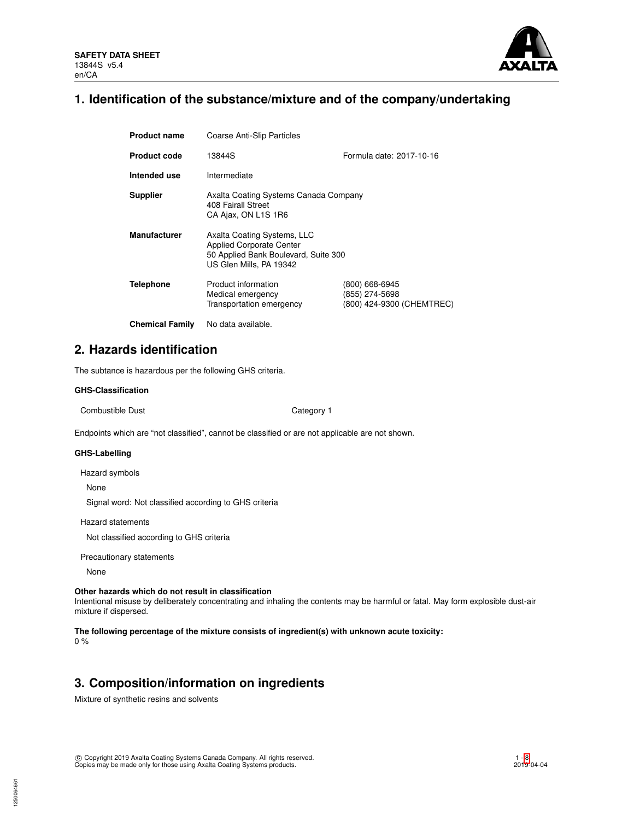

# **1. Identification of the substance/mixture and of the company/undertaking**

| <b>Product name</b>    | <b>Coarse Anti-Slip Particles</b>                                                                                                 |                                                               |  |  |  |
|------------------------|-----------------------------------------------------------------------------------------------------------------------------------|---------------------------------------------------------------|--|--|--|
| <b>Product code</b>    | 13844S                                                                                                                            | Formula date: 2017-10-16                                      |  |  |  |
| Intended use           | Intermediate                                                                                                                      |                                                               |  |  |  |
| <b>Supplier</b>        | Axalta Coating Systems Canada Company<br>408 Fairall Street<br>CA Ajax, ON L1S 1R6                                                |                                                               |  |  |  |
| <b>Manufacturer</b>    | Axalta Coating Systems, LLC<br><b>Applied Corporate Center</b><br>50 Applied Bank Boulevard, Suite 300<br>US Glen Mills, PA 19342 |                                                               |  |  |  |
| <b>Telephone</b>       | Product information<br>Medical emergency<br>Transportation emergency                                                              | (800) 668-6945<br>(855) 274-5698<br>(800) 424-9300 (CHEMTREC) |  |  |  |
| <b>Chemical Family</b> | No data available.                                                                                                                |                                                               |  |  |  |

**2. Hazards identification**

The subtance is hazardous per the following GHS criteria.

# **GHS-Classification**

Combustible Dust **Combustible Dust** Category 1

Endpoints which are "not classified", cannot be classified or are not applicable are not shown.

#### **GHS-Labelling**

Hazard symbols

None

Signal word: Not classified according to GHS criteria

Hazard statements

Not classified according to GHS criteria

Precautionary statements

None

## **Other hazards which do not result in classification**

Intentional misuse by deliberately concentrating and inhaling the contents may be harmful or fatal. May form explosible dust-air mixture if dispersed.

# **The following percentage of the mixture consists of ingredient(s) with unknown acute toxicity:**

0 %

1250064661

# **3. Composition/information on ingredients**

Mixture of synthetic resins and solvents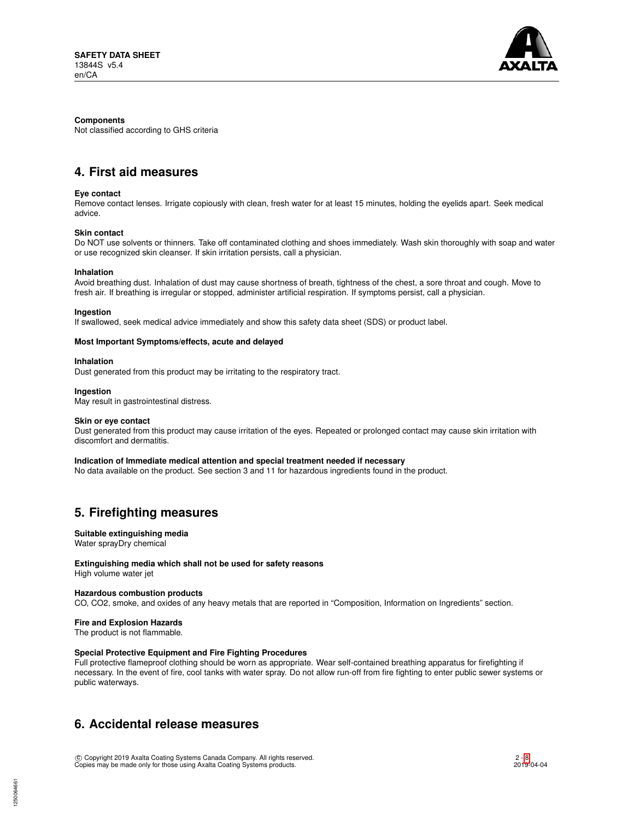

#### **Components**

Not classified according to GHS criteria

# **4. First aid measures**

#### **Eye contact**

Remove contact lenses. Irrigate copiously with clean, fresh water for at least 15 minutes, holding the eyelids apart. Seek medical advice.

# **Skin contact**

Do NOT use solvents or thinners. Take off contaminated clothing and shoes immediately. Wash skin thoroughly with soap and water or use recognized skin cleanser. If skin irritation persists, call a physician.

#### **Inhalation**

Avoid breathing dust. Inhalation of dust may cause shortness of breath, tightness of the chest, a sore throat and cough. Move to fresh air. If breathing is irregular or stopped, administer artificial respiration. If symptoms persist, call a physician.

#### **Ingestion**

If swallowed, seek medical advice immediately and show this safety data sheet (SDS) or product label.

#### **Most Important Symptoms/effects, acute and delayed**

#### **Inhalation**

Dust generated from this product may be irritating to the respiratory tract.

#### **Ingestion**

May result in gastrointestinal distress.

#### **Skin or eye contact**

Dust generated from this product may cause irritation of the eyes. Repeated or prolonged contact may cause skin irritation with discomfort and dermatitis.

#### **Indication of Immediate medical attention and special treatment needed if necessary**

No data available on the product. See section 3 and 11 for hazardous ingredients found in the product.

# **5. Firefighting measures**

# **Suitable extinguishing media**

Water sprayDry chemical

# **Extinguishing media which shall not be used for safety reasons**

High volume water jet

# **Hazardous combustion products**

CO, CO2, smoke, and oxides of any heavy metals that are reported in "Composition, Information on Ingredients" section.

# **Fire and Explosion Hazards**

The product is not flammable.

# **Special Protective Equipment and Fire Fighting Procedures**

Full protective flameproof clothing should be worn as appropriate. Wear self-contained breathing apparatus for firefighting if necessary. In the event of fire, cool tanks with water spray. Do not allow run-off from fire fighting to enter public sewer systems or public waterways.

# **6. Accidental release measures**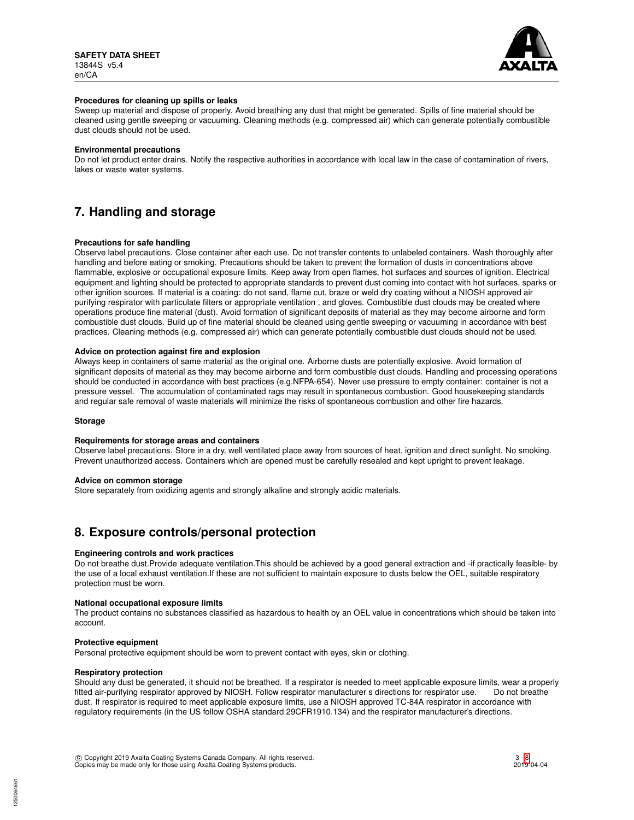

#### **Procedures for cleaning up spills or leaks**

Sweep up material and dispose of properly. Avoid breathing any dust that might be generated. Spills of fine material should be cleaned using gentle sweeping or vacuuming. Cleaning methods (e.g. compressed air) which can generate potentially combustible dust clouds should not be used.

#### **Environmental precautions**

Do not let product enter drains. Notify the respective authorities in accordance with local law in the case of contamination of rivers, lakes or waste water systems.

# **7. Handling and storage**

#### **Precautions for safe handling**

Observe label precautions. Close container after each use. Do not transfer contents to unlabeled containers. Wash thoroughly after handling and before eating or smoking. Precautions should be taken to prevent the formation of dusts in concentrations above flammable, explosive or occupational exposure limits. Keep away from open flames, hot surfaces and sources of ignition. Electrical equipment and lighting should be protected to appropriate standards to prevent dust coming into contact with hot surfaces, sparks or other ignition sources. If material is a coating: do not sand, flame cut, braze or weld dry coating without a NIOSH approved air purifying respirator with particulate filters or appropriate ventilation , and gloves. Combustible dust clouds may be created where operations produce fine material (dust). Avoid formation of significant deposits of material as they may become airborne and form combustible dust clouds. Build up of fine material should be cleaned using gentle sweeping or vacuuming in accordance with best practices. Cleaning methods (e.g. compressed air) which can generate potentially combustible dust clouds should not be used.

#### **Advice on protection against fire and explosion**

Always keep in containers of same material as the original one. Airborne dusts are potentially explosive. Avoid formation of significant deposits of material as they may become airborne and form combustible dust clouds. Handling and processing operations should be conducted in accordance with best practices (e.g.NFPA-654). Never use pressure to empty container: container is not a pressure vessel. The accumulation of contaminated rags may result in spontaneous combustion. Good housekeeping standards and regular safe removal of waste materials will minimize the risks of spontaneous combustion and other fire hazards.

#### **Storage**

### **Requirements for storage areas and containers**

Observe label precautions. Store in a dry, well ventilated place away from sources of heat, ignition and direct sunlight. No smoking. Prevent unauthorized access. Containers which are opened must be carefully resealed and kept upright to prevent leakage.

#### **Advice on common storage**

Store separately from oxidizing agents and strongly alkaline and strongly acidic materials.

# **8. Exposure controls/personal protection**

#### **Engineering controls and work practices**

Do not breathe dust.Provide adequate ventilation.This should be achieved by a good general extraction and -if practically feasible- by the use of a local exhaust ventilation.If these are not sufficient to maintain exposure to dusts below the OEL, suitable respiratory protection must be worn.

#### **National occupational exposure limits**

The product contains no substances classified as hazardous to health by an OEL value in concentrations which should be taken into account.

#### **Protective equipment**

Personal protective equipment should be worn to prevent contact with eyes, skin or clothing.

#### **Respiratory protection**

Should any dust be generated, it should not be breathed. If a respirator is needed to meet applicable exposure limits, wear a properly fitted air-purifying respirator approved by NIOSH. Follow respirator manufacturer s directions for respirator use. Do not breathe dust. If respirator is required to meet applicable exposure limits, use a NIOSH approved TC-84A respirator in accordance with regulatory requirements (in the US follow OSHA standard 29CFR1910.134) and the respirator manufacturer's directions.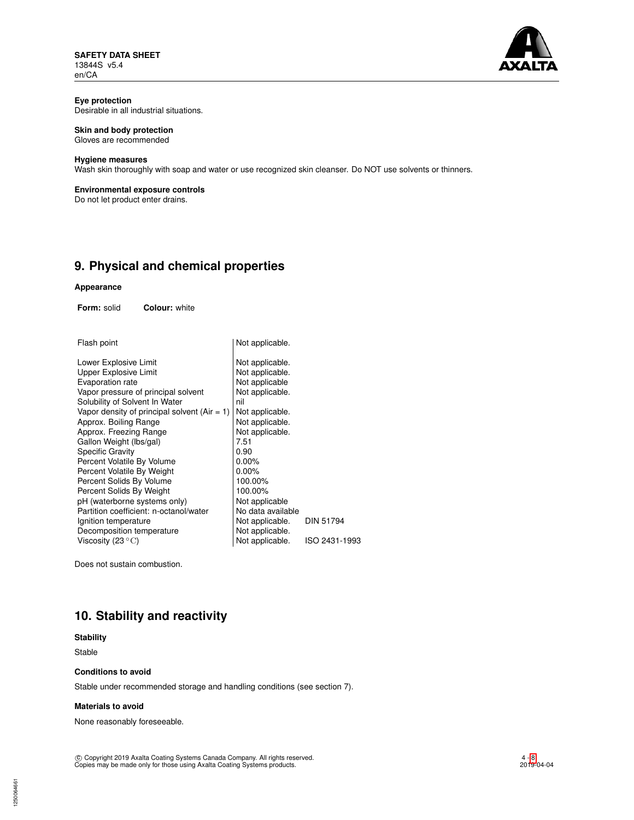**SAFETY DATA SHEET** 13844S v5.4 en/CA



#### **Eye protection** Desirable in all industrial situations.

# **Skin and body protection**

Gloves are recommended

#### **Hygiene measures**

Wash skin thoroughly with soap and water or use recognized skin cleanser. Do NOT use solvents or thinners.

# **Environmental exposure controls**

Do not let product enter drains.

# **9. Physical and chemical properties**

#### **Appearance**

**Form:** solid **Colour:** white

| Flash point                                    | Not applicable.   |               |
|------------------------------------------------|-------------------|---------------|
| Lower Explosive Limit                          | Not applicable.   |               |
| Upper Explosive Limit                          | Not applicable.   |               |
| Evaporation rate                               | Not applicable    |               |
| Vapor pressure of principal solvent            | Not applicable.   |               |
| Solubility of Solvent In Water                 | nil               |               |
| Vapor density of principal solvent $(Air = 1)$ | Not applicable.   |               |
| Approx. Boiling Range                          | Not applicable.   |               |
| Approx. Freezing Range                         | Not applicable.   |               |
| Gallon Weight (lbs/gal)                        | 7.51              |               |
| <b>Specific Gravity</b>                        | 0.90              |               |
| Percent Volatile By Volume                     | $0.00\%$          |               |
| Percent Volatile By Weight                     | $0.00\%$          |               |
| Percent Solids By Volume                       | 100.00%           |               |
| Percent Solids By Weight                       | 100.00%           |               |
| pH (waterborne systems only)                   | Not applicable    |               |
| Partition coefficient: n-octanol/water         | No data available |               |
| Ignition temperature                           | Not applicable.   | DIN 51794     |
| Decomposition temperature                      | Not applicable.   |               |
| Viscosity (23 $^{\circ}$ C)                    | Not applicable.   | ISO 2431-1993 |
|                                                |                   |               |

Does not sustain combustion.

# **10. Stability and reactivity**

# **Stability**

Stable

1250064661

# **Conditions to avoid**

Stable under recommended storage and handling conditions (see section 7).

### **Materials to avoid**

None reasonably foreseeable.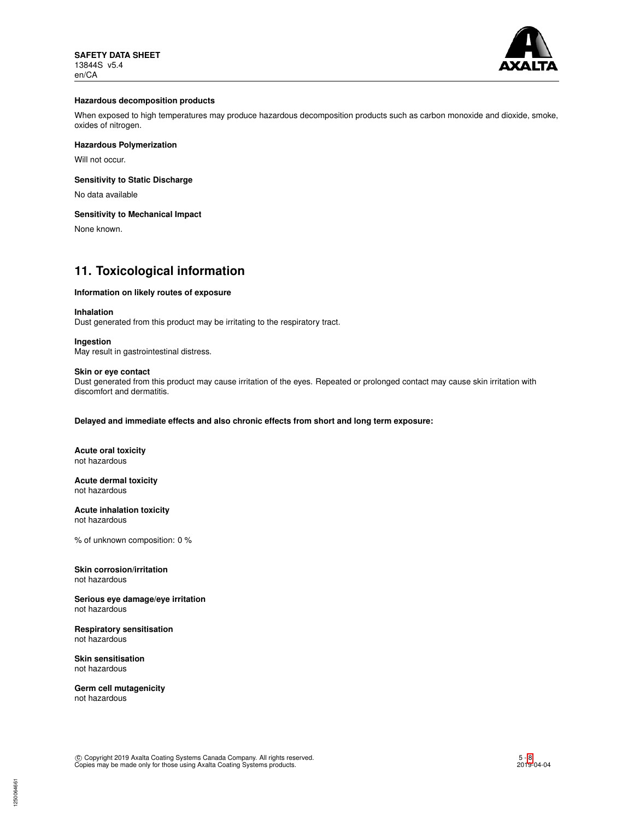

#### **Hazardous decomposition products**

When exposed to high temperatures may produce hazardous decomposition products such as carbon monoxide and dioxide, smoke, oxides of nitrogen.

# **Hazardous Polymerization**

Will not occur.

# **Sensitivity to Static Discharge**

No data available

## **Sensitivity to Mechanical Impact**

None known.

# **11. Toxicological information**

#### **Information on likely routes of exposure**

#### **Inhalation**

Dust generated from this product may be irritating to the respiratory tract.

#### **Ingestion**

May result in gastrointestinal distress.

#### **Skin or eye contact**

Dust generated from this product may cause irritation of the eyes. Repeated or prolonged contact may cause skin irritation with discomfort and dermatitis.

**Delayed and immediate effects and also chronic effects from short and long term exposure:**

**Acute oral toxicity** not hazardous

#### **Acute dermal toxicity** not hazardous

**Acute inhalation toxicity** not hazardous

% of unknown composition: 0 %

# **Skin corrosion/irritation**

not hazardous

**Serious eye damage/eye irritation** not hazardous

## **Respiratory sensitisation** not hazardous

**Skin sensitisation** not hazardous

**Germ cell mutagenicity** not hazardous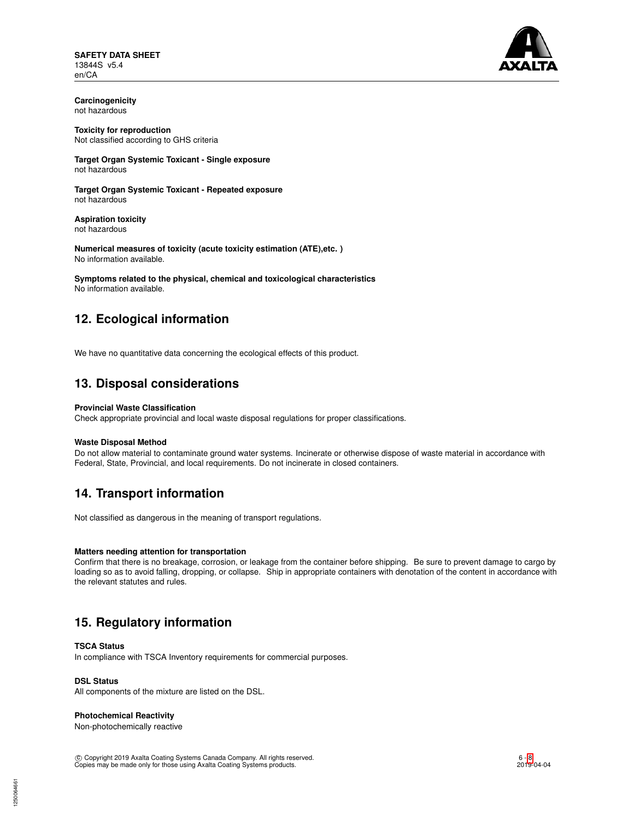**SAFETY DATA SHEET** 13844S v5.4 en/CA



**Carcinogenicity** not hazardous

**Toxicity for reproduction** Not classified according to GHS criteria

**Target Organ Systemic Toxicant - Single exposure** not hazardous

**Target Organ Systemic Toxicant - Repeated exposure** not hazardous

**Aspiration toxicity** not hazardous

**Numerical measures of toxicity (acute toxicity estimation (ATE),etc. )** No information available.

**Symptoms related to the physical, chemical and toxicological characteristics** No information available.

# **12. Ecological information**

We have no quantitative data concerning the ecological effects of this product.

# **13. Disposal considerations**

# **Provincial Waste Classification**

Check appropriate provincial and local waste disposal regulations for proper classifications.

# **Waste Disposal Method**

Do not allow material to contaminate ground water systems. Incinerate or otherwise dispose of waste material in accordance with Federal, State, Provincial, and local requirements. Do not incinerate in closed containers.

# **14. Transport information**

Not classified as dangerous in the meaning of transport regulations.

# **Matters needing attention for transportation**

Confirm that there is no breakage, corrosion, or leakage from the container before shipping. Be sure to prevent damage to cargo by loading so as to avoid falling, dropping, or collapse. Ship in appropriate containers with denotation of the content in accordance with the relevant statutes and rules.

# **15. Regulatory information**

# **TSCA Status**

In compliance with TSCA Inventory requirements for commercial purposes.

# **DSL Status**

All components of the mixture are listed on the DSL.

# **Photochemical Reactivity**

Non-photochemically reactive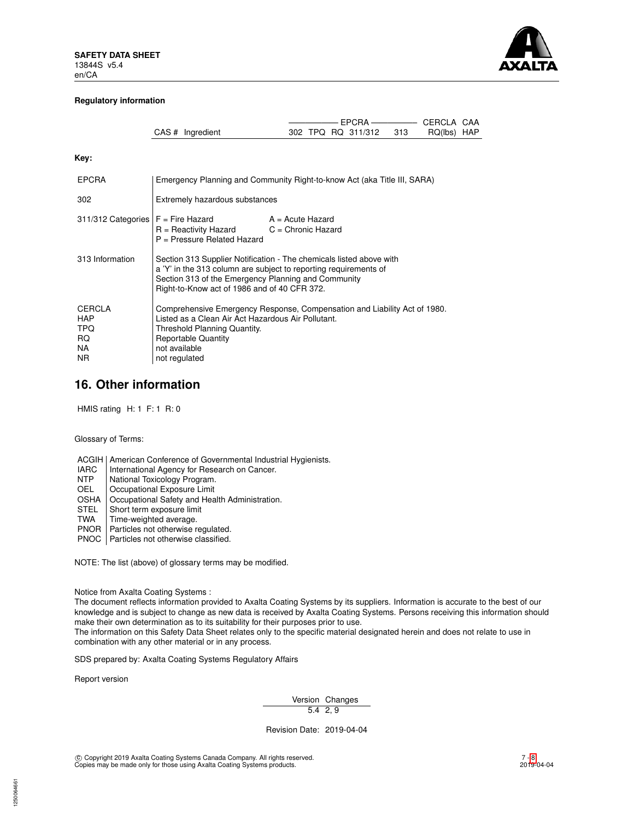

### **Regulatory information**

|                                                                      |                                                                                                                                                                                                                                                |                                            | $EPCRA$ —————— |  |                    |     | CERCLA CAA  |  |
|----------------------------------------------------------------------|------------------------------------------------------------------------------------------------------------------------------------------------------------------------------------------------------------------------------------------------|--------------------------------------------|----------------|--|--------------------|-----|-------------|--|
|                                                                      | CAS # Ingredient                                                                                                                                                                                                                               |                                            |                |  | 302 TPQ RQ 311/312 | 313 | RQ(lbs) HAP |  |
| Key:                                                                 |                                                                                                                                                                                                                                                |                                            |                |  |                    |     |             |  |
| <b>EPCRA</b>                                                         | Emergency Planning and Community Right-to-know Act (aka Title III, SARA)                                                                                                                                                                       |                                            |                |  |                    |     |             |  |
| 302                                                                  | Extremely hazardous substances                                                                                                                                                                                                                 |                                            |                |  |                    |     |             |  |
| 311/312 Categories                                                   | $F =$ Fire Hazard<br>$R =$ Reactivity Hazard<br>$P =$ Pressure Related Hazard                                                                                                                                                                  | $A = Acute$ Hazard<br>$C =$ Chronic Hazard |                |  |                    |     |             |  |
| 313 Information                                                      | Section 313 Supplier Notification - The chemicals listed above with<br>a 'Y' in the 313 column are subject to reporting requirements of<br>Section 313 of the Emergency Planning and Community<br>Right-to-Know act of 1986 and of 40 CFR 372. |                                            |                |  |                    |     |             |  |
| <b>CERCLA</b><br><b>HAP</b><br><b>TPQ</b><br>RQ.<br>NA.<br><b>NR</b> | Comprehensive Emergency Response, Compensation and Liability Act of 1980.<br>Listed as a Clean Air Act Hazardous Air Pollutant.<br>Threshold Planning Quantity.<br><b>Reportable Quantity</b><br>not available<br>not regulated                |                                            |                |  |                    |     |             |  |

# **16. Other information**

HMIS rating H: 1 F: 1 R: 0

Glossary of Terms:

ACGIH | American Conference of Governmental Industrial Hygienists.

- IARC | International Agency for Research on Cancer.<br>NTP | National Toxicology Program.
- NTP National Toxicology Program.<br>OEL Occupational Exposure Limit
- OEL Cccupational Exposure Limit<br>OSHA Cccupational Safety and Hea
- OSHA | Occupational Safety and Health Administration.<br>STEL | Short term exposure limit
- STEL Short term exposure limit<br>TWA Time-weighted average.
- Time-weighted average.
- PNOR | Particles not otherwise regulated.
- PNOC | Particles not otherwise classified.

NOTE: The list (above) of glossary terms may be modified.

Notice from Axalta Coating Systems :

The document reflects information provided to Axalta Coating Systems by its suppliers. Information is accurate to the best of our knowledge and is subject to change as new data is received by Axalta Coating Systems. Persons receiving this information should make their own determination as to its suitability for their purposes prior to use.

The information on this Safety Data Sheet relates only to the specific material designated herein and does not relate to use in combination with any other material or in any process.

SDS prepared by: Axalta Coating Systems Regulatory Affairs

Report version

Version Changes 5.4 2, 9

Revision Date: 2019-04-04